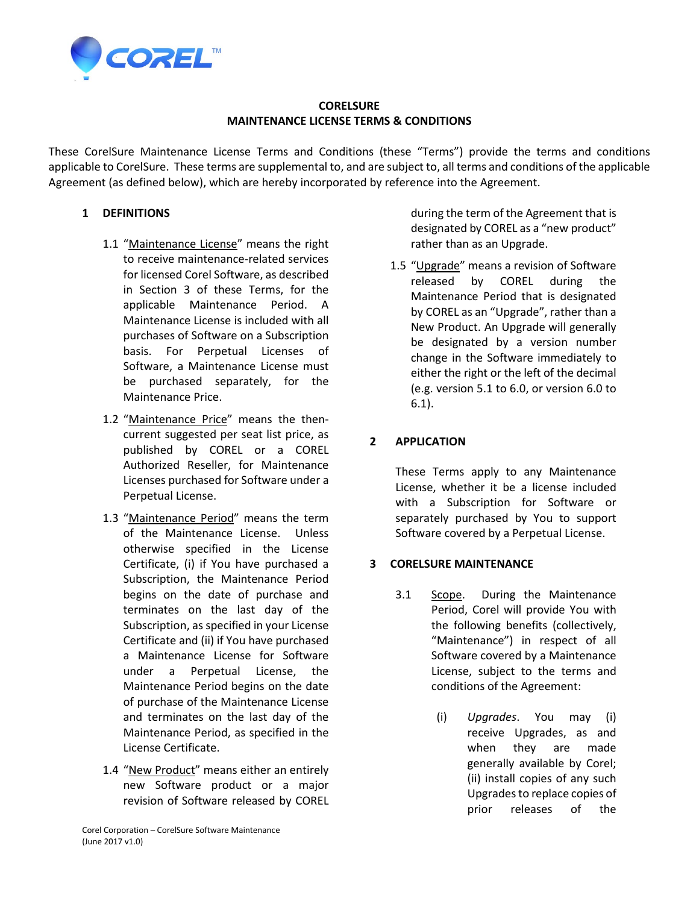

#### **CORELSURE MAINTENANCE LICENSE TERMS & CONDITIONS**

These CorelSure Maintenance License Terms and Conditions (these "Terms") provide the terms and conditions applicable to CorelSure. These terms are supplemental to, and are subject to, all terms and conditions of the applicable Agreement (as defined below), which are hereby incorporated by reference into the Agreement.

### **1 DEFINITIONS**

- 1.1 "Maintenance License" means the right to receive maintenance-related services for licensed Corel Software, as described in Section 3 of these Terms, for the applicable Maintenance Period. A Maintenance License is included with all purchases of Software on a Subscription basis. For Perpetual Licenses of Software, a Maintenance License must be purchased separately, for the Maintenance Price.
- 1.2 "Maintenance Price" means the thencurrent suggested per seat list price, as published by COREL or a COREL Authorized Reseller, for Maintenance Licenses purchased for Software under a Perpetual License.
- 1.3 "Maintenance Period" means the term of the Maintenance License. Unless otherwise specified in the License Certificate, (i) if You have purchased a Subscription, the Maintenance Period begins on the date of purchase and terminates on the last day of the Subscription, as specified in your License Certificate and (ii) if You have purchased a Maintenance License for Software under a Perpetual License, the Maintenance Period begins on the date of purchase of the Maintenance License and terminates on the last day of the Maintenance Period, as specified in the License Certificate.
- 1.4 "New Product" means either an entirely new Software product or a major revision of Software released by COREL

during the term of the Agreement that is designated by COREL as a "new product" rather than as an Upgrade.

1.5 "Upgrade" means a revision of Software released by COREL during the Maintenance Period that is designated by COREL as an "Upgrade", rather than a New Product. An Upgrade will generally be designated by a version number change in the Software immediately to either the right or the left of the decimal (e.g. version 5.1 to 6.0, or version 6.0 to 6.1).

# **2 APPLICATION**

These Terms apply to any Maintenance License, whether it be a license included with a Subscription for Software or separately purchased by You to support Software covered by a Perpetual License.

#### **3 CORELSURE MAINTENANCE**

- 3.1 Scope. During the Maintenance Period, Corel will provide You with the following benefits (collectively, "Maintenance") in respect of all Software covered by a Maintenance License, subject to the terms and conditions of the Agreement:
	- (i) *Upgrades*. You may (i) receive Upgrades, as and when they are made generally available by Corel; (ii) install copies of any such Upgrades to replace copies of prior releases of the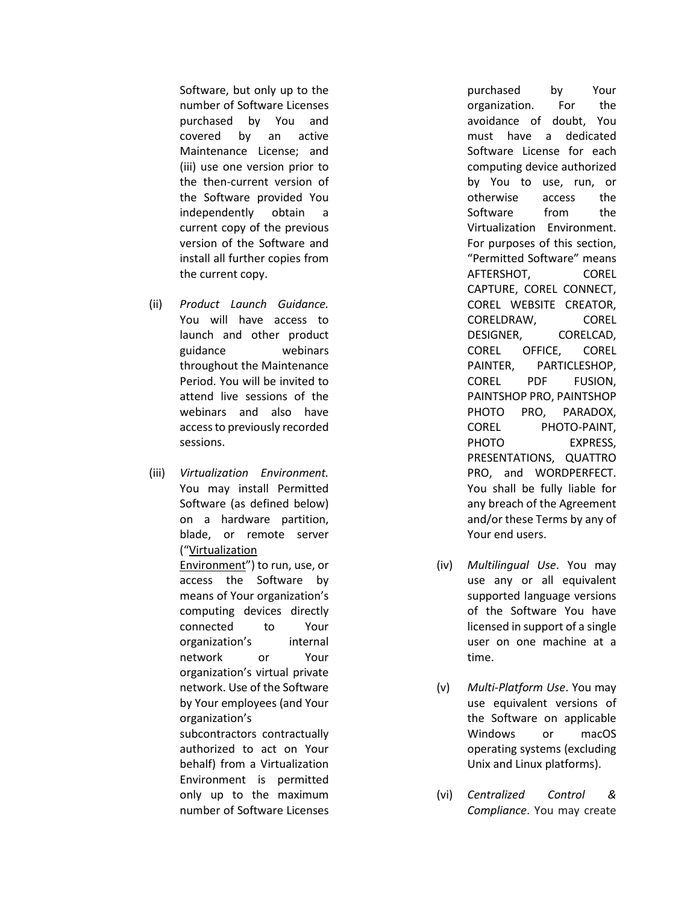Software, but only up to the number of Software Licenses purchased by You and covered by an active Maintenance License; and (iii) use one version prior to the then-current version of the Software provided You independently obtain a current copy of the previous version of the Software and install all further copies from the current copy.

- (ii) *Product Launch Guidance.*  You will have access to launch and other product guidance webinars throughout the Maintenance Period. You will be invited to attend live sessions of the webinars and also have access to previously recorded sessions.
- (iii) *Virtualization Environment.*  You may install Permitted Software (as defined below) on a hardware partition, blade, or remote server ("Virtualization Environment") to run, use, or access the Software by means of Your organization's computing devices directly connected to Your organization's internal network or Your organization's virtual private network. Use of the Software by Your employees (and Your organization's subcontractors contractually authorized to act on Your behalf) from a Virtualization Environment is permitted only up to the maximum number of Software Licenses

purchased by Your organization. For the avoidance of doubt, You must have a dedicated Software License for each computing device authorized by You to use, run, or otherwise access the Software from the Virtualization Environment. For purposes of this section, "Permitted Software" means AFTERSHOT, COREL CAPTURE, COREL CONNECT, COREL WEBSITE CREATOR, CORELDRAW, COREL DESIGNER, CORELCAD, COREL OFFICE, COREL PAINTER, PARTICLESHOP, COREL PDF FUSION, PAINTSHOP PRO, PAINTSHOP PHOTO PRO, PARADOX, COREL PHOTO-PAINT, PHOTO EXPRESS, PRESENTATIONS, QUATTRO PRO, and WORDPERFECT. You shall be fully liable for any breach of the Agreement and/or these Terms by any of Your end users.

- (iv) *Multilingual Use*. You may use any or all equivalent supported language versions of the Software You have licensed in support of a single user on one machine at a time.
- (v) *Multi-Platform Use*. You may use equivalent versions of the Software on applicable Windows or macOS operating systems (excluding Unix and Linux platforms).
- (vi) *Centralized Control & Compliance*. You may create